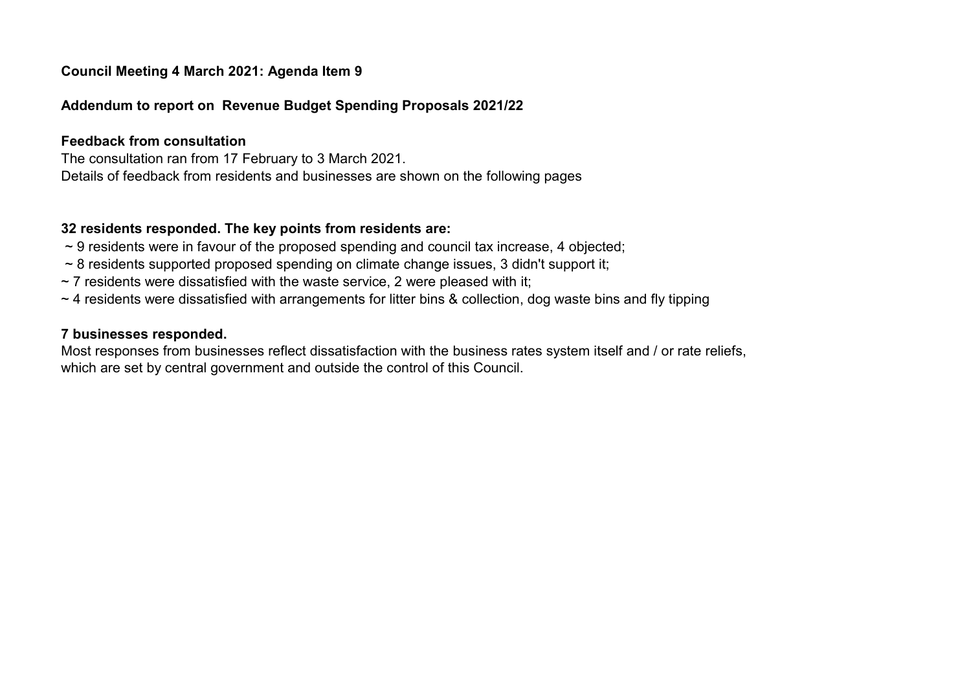# Council Meeting 4 March 2021: Agenda Item 9

### Addendum to report on Revenue Budget Spending Proposals 2021/22

#### Feedback from consultation

The consultation ran from 17 February to 3 March 2021. Details of feedback from residents and businesses are shown on the following pages

### 32 residents responded. The key points from residents are:

- $\sim$  9 residents were in favour of the proposed spending and council tax increase, 4 objected;
- ~ 8 residents supported proposed spending on climate change issues, 3 didn't support it;
- $\sim$  7 residents were dissatisfied with the waste service, 2 were pleased with it;
- ~ 4 residents were dissatisfied with arrangements for litter bins & collection, dog waste bins and fly tipping

# 7 businesses responded.

Most responses from businesses reflect dissatisfaction with the business rates system itself and / or rate reliefs, which are set by central government and outside the control of this Council.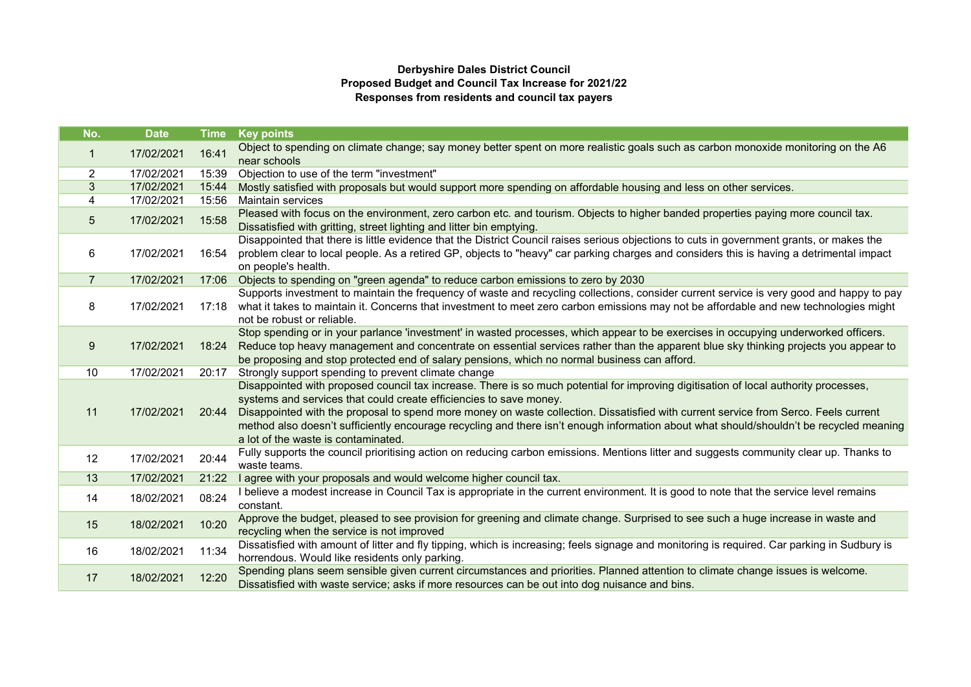#### Derbyshire Dales District Council Proposed Budget and Council Tax Increase for 2021/22 Responses from residents and council tax payers

| No.            | <b>Date</b> | <b>Time</b> | <b>Key points</b>                                                                                                                                                                                                                                                                                                                                                                                                                                                                                                                   |  |  |
|----------------|-------------|-------------|-------------------------------------------------------------------------------------------------------------------------------------------------------------------------------------------------------------------------------------------------------------------------------------------------------------------------------------------------------------------------------------------------------------------------------------------------------------------------------------------------------------------------------------|--|--|
| $\mathbf 1$    | 17/02/2021  | 16:41       | Object to spending on climate change; say money better spent on more realistic goals such as carbon monoxide monitoring on the A6<br>near schools                                                                                                                                                                                                                                                                                                                                                                                   |  |  |
| 2              | 17/02/2021  | 15:39       | Objection to use of the term "investment"                                                                                                                                                                                                                                                                                                                                                                                                                                                                                           |  |  |
| 3              | 17/02/2021  | 15:44       | Mostly satisfied with proposals but would support more spending on affordable housing and less on other services.                                                                                                                                                                                                                                                                                                                                                                                                                   |  |  |
| 4              | 17/02/2021  | 15:56       | Maintain services                                                                                                                                                                                                                                                                                                                                                                                                                                                                                                                   |  |  |
| 5              | 17/02/2021  | 15:58       | Pleased with focus on the environment, zero carbon etc. and tourism. Objects to higher banded properties paying more council tax.<br>Dissatisfied with gritting, street lighting and litter bin emptying.                                                                                                                                                                                                                                                                                                                           |  |  |
| 6              | 17/02/2021  | 16:54       | Disappointed that there is little evidence that the District Council raises serious objections to cuts in government grants, or makes the<br>problem clear to local people. As a retired GP, objects to "heavy" car parking charges and considers this is having a detrimental impact<br>on people's health.                                                                                                                                                                                                                        |  |  |
| $\overline{7}$ | 17/02/2021  | 17:06       | Objects to spending on "green agenda" to reduce carbon emissions to zero by 2030                                                                                                                                                                                                                                                                                                                                                                                                                                                    |  |  |
| 8              | 17/02/2021  | 17:18       | Supports investment to maintain the frequency of waste and recycling collections, consider current service is very good and happy to pay<br>what it takes to maintain it. Concerns that investment to meet zero carbon emissions may not be affordable and new technologies might<br>not be robust or reliable.                                                                                                                                                                                                                     |  |  |
| 9              | 17/02/2021  | 18:24       | Stop spending or in your parlance 'investment' in wasted processes, which appear to be exercises in occupying underworked officers.<br>Reduce top heavy management and concentrate on essential services rather than the apparent blue sky thinking projects you appear to<br>be proposing and stop protected end of salary pensions, which no normal business can afford.                                                                                                                                                          |  |  |
| 10             | 17/02/2021  | 20:17       | Strongly support spending to prevent climate change                                                                                                                                                                                                                                                                                                                                                                                                                                                                                 |  |  |
| 11             | 17/02/2021  | 20:44       | Disappointed with proposed council tax increase. There is so much potential for improving digitisation of local authority processes,<br>systems and services that could create efficiencies to save money.<br>Disappointed with the proposal to spend more money on waste collection. Dissatisfied with current service from Serco. Feels current<br>method also doesn't sufficiently encourage recycling and there isn't enough information about what should/shouldn't be recycled meaning<br>a lot of the waste is contaminated. |  |  |
| 12             | 17/02/2021  | 20:44       | Fully supports the council prioritising action on reducing carbon emissions. Mentions litter and suggests community clear up. Thanks to<br>waste teams.                                                                                                                                                                                                                                                                                                                                                                             |  |  |
| 13             | 17/02/2021  | 21:22       | I agree with your proposals and would welcome higher council tax.                                                                                                                                                                                                                                                                                                                                                                                                                                                                   |  |  |
| 14             | 18/02/2021  | 08:24       | I believe a modest increase in Council Tax is appropriate in the current environment. It is good to note that the service level remains<br>constant.                                                                                                                                                                                                                                                                                                                                                                                |  |  |
| 15             | 18/02/2021  | 10:20       | Approve the budget, pleased to see provision for greening and climate change. Surprised to see such a huge increase in waste and<br>recycling when the service is not improved                                                                                                                                                                                                                                                                                                                                                      |  |  |
| 16             | 18/02/2021  | 11:34       | Dissatisfied with amount of litter and fly tipping, which is increasing; feels signage and monitoring is required. Car parking in Sudbury is<br>horrendous. Would like residents only parking.                                                                                                                                                                                                                                                                                                                                      |  |  |
| 17             | 18/02/2021  | 12:20       | Spending plans seem sensible given current circumstances and priorities. Planned attention to climate change issues is welcome.<br>Dissatisfied with waste service; asks if more resources can be out into dog nuisance and bins.                                                                                                                                                                                                                                                                                                   |  |  |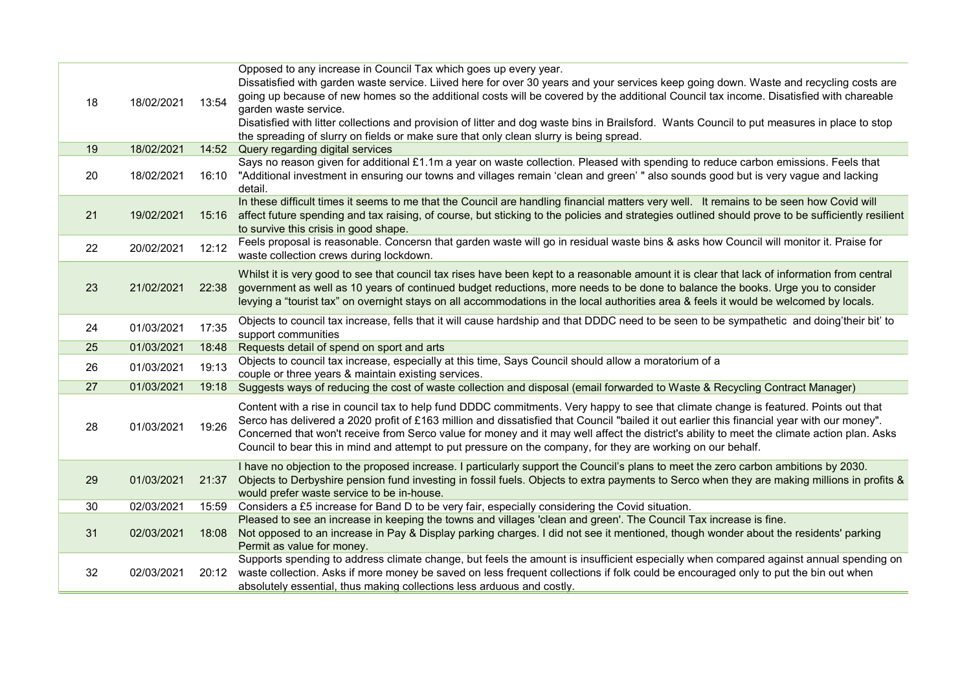| 18 | 18/02/2021 | 13:54 | Opposed to any increase in Council Tax which goes up every year.<br>Dissatisfied with garden waste service. Liived here for over 30 years and your services keep going down. Waste and recycling costs are<br>going up because of new homes so the additional costs will be covered by the additional Council tax income. Disatisfied with chareable                                                                                                                                                                                               |
|----|------------|-------|----------------------------------------------------------------------------------------------------------------------------------------------------------------------------------------------------------------------------------------------------------------------------------------------------------------------------------------------------------------------------------------------------------------------------------------------------------------------------------------------------------------------------------------------------|
|    |            |       | garden waste service.<br>Disatisfied with litter collections and provision of litter and dog waste bins in Brailsford. Wants Council to put measures in place to stop<br>the spreading of slurry on fields or make sure that only clean slurry is being spread.                                                                                                                                                                                                                                                                                    |
| 19 | 18/02/2021 | 14:52 | Query regarding digital services                                                                                                                                                                                                                                                                                                                                                                                                                                                                                                                   |
| 20 | 18/02/2021 | 16:10 | Says no reason given for additional £1.1m a year on waste collection. Pleased with spending to reduce carbon emissions. Feels that<br>"Additional investment in ensuring our towns and villages remain 'clean and green' " also sounds good but is very vague and lacking<br>detail.                                                                                                                                                                                                                                                               |
| 21 | 19/02/2021 | 15:16 | In these difficult times it seems to me that the Council are handling financial matters very well. It remains to be seen how Covid will<br>affect future spending and tax raising, of course, but sticking to the policies and strategies outlined should prove to be sufficiently resilient<br>to survive this crisis in good shape.                                                                                                                                                                                                              |
| 22 | 20/02/2021 | 12:12 | Feels proposal is reasonable. Concersn that garden waste will go in residual waste bins & asks how Council will monitor it. Praise for<br>waste collection crews during lockdown.                                                                                                                                                                                                                                                                                                                                                                  |
| 23 | 21/02/2021 | 22:38 | Whilst it is very good to see that council tax rises have been kept to a reasonable amount it is clear that lack of information from central<br>government as well as 10 years of continued budget reductions, more needs to be done to balance the books. Urge you to consider<br>levying a "tourist tax" on overnight stays on all accommodations in the local authorities area & feels it would be welcomed by locals.                                                                                                                          |
| 24 | 01/03/2021 | 17:35 | Objects to council tax increase, fells that it will cause hardship and that DDDC need to be seen to be sympathetic and doing'their bit' to<br>support communities                                                                                                                                                                                                                                                                                                                                                                                  |
| 25 | 01/03/2021 | 18:48 | Requests detail of spend on sport and arts                                                                                                                                                                                                                                                                                                                                                                                                                                                                                                         |
| 26 | 01/03/2021 | 19:13 | Objects to council tax increase, especially at this time, Says Council should allow a moratorium of a<br>couple or three years & maintain existing services.                                                                                                                                                                                                                                                                                                                                                                                       |
| 27 | 01/03/2021 | 19:18 | Suggests ways of reducing the cost of waste collection and disposal (email forwarded to Waste & Recycling Contract Manager)                                                                                                                                                                                                                                                                                                                                                                                                                        |
| 28 | 01/03/2021 | 19:26 | Content with a rise in council tax to help fund DDDC commitments. Very happy to see that climate change is featured. Points out that<br>Serco has delivered a 2020 profit of £163 million and dissatisfied that Council "bailed it out earlier this financial year with our money".<br>Concerned that won't receive from Serco value for money and it may well affect the district's ability to meet the climate action plan. Asks<br>Council to bear this in mind and attempt to put pressure on the company, for they are working on our behalf. |
| 29 | 01/03/2021 | 21:37 | I have no objection to the proposed increase. I particularly support the Council's plans to meet the zero carbon ambitions by 2030.<br>Objects to Derbyshire pension fund investing in fossil fuels. Objects to extra payments to Serco when they are making millions in profits &<br>would prefer waste service to be in-house.                                                                                                                                                                                                                   |
| 30 | 02/03/2021 | 15:59 | Considers a £5 increase for Band D to be very fair, especially considering the Covid situation.                                                                                                                                                                                                                                                                                                                                                                                                                                                    |
| 31 | 02/03/2021 | 18:08 | Pleased to see an increase in keeping the towns and villages 'clean and green'. The Council Tax increase is fine.<br>Not opposed to an increase in Pay & Display parking charges. I did not see it mentioned, though wonder about the residents' parking<br>Permit as value for money.                                                                                                                                                                                                                                                             |
| 32 | 02/03/2021 | 20:12 | Supports spending to address climate change, but feels the amount is insufficient especially when compared against annual spending on<br>waste collection. Asks if more money be saved on less frequent collections if folk could be encouraged only to put the bin out when<br>absolutely essential, thus making collections less arduous and costly.                                                                                                                                                                                             |